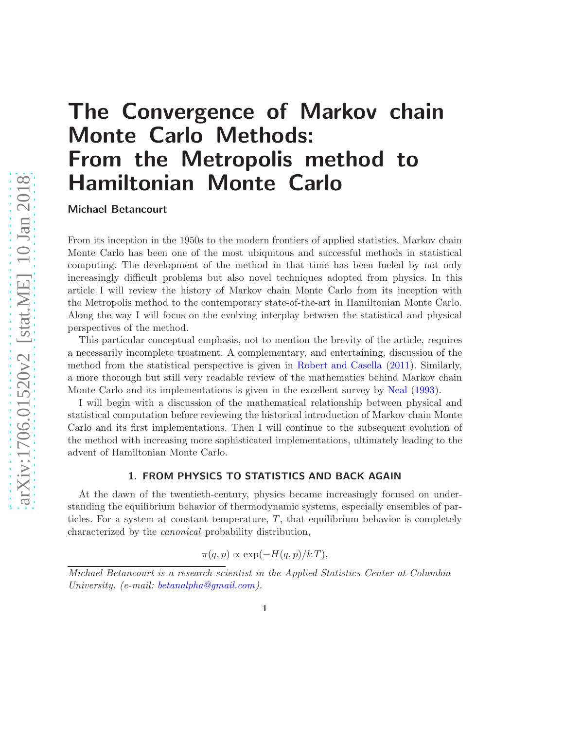# The Convergence of Markov chain Monte Carlo Methods: From the Metropolis method to Hamiltonian Monte Carlo

Michael Betancourt

From its inception in the 1950s to the modern frontiers of applied statistics, Markov chain Monte Carlo has been one of the most ubiquitous and successful methods in statistical computing. The development of the method in that time has been fueled by not only increasingly difficult problems but also novel techniques adopted from physics. In this article I will review the history of Markov chain Monte Carlo from its inception with the Metropolis method to the contemporary state-of-the-art in Hamiltonian Monte Carlo. Along the way I will focus on the evolving interplay between the statistical and physical perspectives of the method.

This particular conceptual emphasis, not to mention the brevity of the article, requires a necessarily incomplete treatment. A complementary, and entertaining, discussion of the method from the statistical perspective is given in [Robert and Casella](#page-12-0) [\(2011](#page-12-0)). Similarly, a more thorough but still very readable review of the mathematics behind Markov chain Monte Carlo and its implementations is given in the excellent survey by [Neal](#page-11-0) [\(1993](#page-11-0)).

I will begin with a discussion of the mathematical relationship between physical and statistical computation before reviewing the historical introduction of Markov chain Monte Carlo and its first implementations. Then I will continue to the subsequent evolution of the method with increasing more sophisticated implementations, ultimately leading to the advent of Hamiltonian Monte Carlo.

## 1. FROM PHYSICS TO STATISTICS AND BACK AGAIN

At the dawn of the twentieth-century, physics became increasingly focused on understanding the equilibrium behavior of thermodynamic systems, especially ensembles of particles. For a system at constant temperature,  $T$ , that equilibrium behavior is completely characterized by the canonical probability distribution,

$$
\pi(q, p) \propto \exp(-H(q, p)/kT),
$$

Michael Betancourt is a research scientist in the Applied Statistics Center at Columbia University. (e-mail: [betanalpha@gmail.com\)](mailto:betanalpha@gmail.com).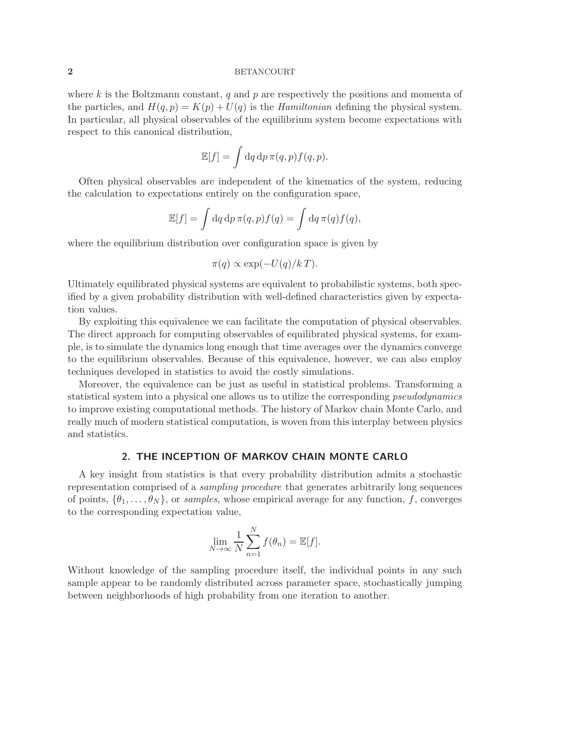where k is the Boltzmann constant, q and p are respectively the positions and momenta of the particles, and  $H(q, p) = K(p) + U(q)$  is the *Hamiltonian* defining the physical system. In particular, all physical observables of the equilibrium system become expectations with respect to this canonical distribution,

$$
\mathbb{E}[f] = \int dq \, dp \, \pi(q, p) f(q, p).
$$

Often physical observables are independent of the kinematics of the system, reducing the calculation to expectations entirely on the configuration space,

$$
\mathbb{E}[f] = \int dq \, dp \, \pi(q, p) f(q) = \int dq \, \pi(q) f(q),
$$

where the equilibrium distribution over configuration space is given by

$$
\pi(q) \propto \exp(-U(q)/kT).
$$

Ultimately equilibrated physical systems are equivalent to probabilistic systems, both specified by a given probability distribution with well-defined characteristics given by expectation values.

By exploiting this equivalence we can facilitate the computation of physical observables. The direct approach for computing observables of equilibrated physical systems, for example, is to simulate the dynamics long enough that time averages over the dynamics converge to the equilibrium observables. Because of this equivalence, however, we can also employ techniques developed in statistics to avoid the costly simulations.

Moreover, the equivalence can be just as useful in statistical problems. Transforming a statistical system into a physical one allows us to utilize the corresponding pseudodynamics to improve existing computational methods. The history of Markov chain Monte Carlo, and really much of modern statistical computation, is woven from this interplay between physics and statistics.

## 2. THE INCEPTION OF MARKOV CHAIN MONTE CARLO

A key insight from statistics is that every probability distribution admits a stochastic representation comprised of a sampling procedure that generates arbitrarily long sequences of points,  $\{\theta_1, \ldots, \theta_N\}$ , or samples, whose empirical average for any function, f, converges to the corresponding expectation value,

$$
\lim_{N \to \infty} \frac{1}{N} \sum_{n=1}^{N} f(\theta_n) = \mathbb{E}[f].
$$

Without knowledge of the sampling procedure itself, the individual points in any such sample appear to be randomly distributed across parameter space, stochastically jumping between neighborhoods of high probability from one iteration to another.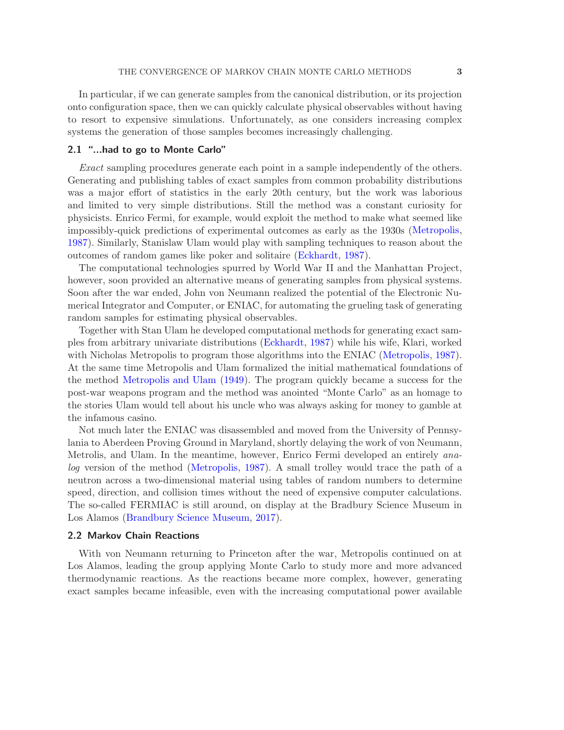In particular, if we can generate samples from the canonical distribution, or its projection onto configuration space, then we can quickly calculate physical observables without having to resort to expensive simulations. Unfortunately, as one considers increasing complex systems the generation of those samples becomes increasingly challenging.

#### 2.1 "...had to go to Monte Carlo"

Exact sampling procedures generate each point in a sample independently of the others. Generating and publishing tables of exact samples from common probability distributions was a major effort of statistics in the early 20th century, but the work was laborious and limited to very simple distributions. Still the method was a constant curiosity for physicists. Enrico Fermi, for example, would exploit the method to make what seemed like impossibly-quick predictions of experimental outcomes as early as the 1930s [\(Metropolis,](#page-11-1) [1987](#page-11-1)). Similarly, Stanislaw Ulam would play with sampling techniques to reason about the outcomes of random games like poker and solitaire [\(Eckhardt](#page-11-2), [1987\)](#page-11-2).

The computational technologies spurred by World War II and the Manhattan Project, however, soon provided an alternative means of generating samples from physical systems. Soon after the war ended, John von Neumann realized the potential of the Electronic Numerical Integrator and Computer, or ENIAC, for automating the grueling task of generating random samples for estimating physical observables.

Together with Stan Ulam he developed computational methods for generating exact samples from arbitrary univariate distributions [\(Eckhardt](#page-11-2), [1987](#page-11-2)) while his wife, Klari, worked with Nicholas Metropolis to program those algorithms into the ENIAC [\(Metropolis](#page-11-1), [1987](#page-11-1)). At the same time Metropolis and Ulam formalized the initial mathematical foundations of the method [Metropolis and Ulam](#page-11-3) [\(1949](#page-11-3)). The program quickly became a success for the post-war weapons program and the method was anointed "Monte Carlo" as an homage to the stories Ulam would tell about his uncle who was always asking for money to gamble at the infamous casino.

Not much later the ENIAC was disassembled and moved from the University of Pennsylania to Aberdeen Proving Ground in Maryland, shortly delaying the work of von Neumann, Metrolis, and Ulam. In the meantime, however, Enrico Fermi developed an entirely analog version of the method [\(Metropolis](#page-11-1), [1987](#page-11-1)). A small trolley would trace the path of a neutron across a two-dimensional material using tables of random numbers to determine speed, direction, and collision times without the need of expensive computer calculations. The so-called FERMIAC is still around, on display at the Bradbury Science Museum in Los Alamos [\(Brandbury Science Museum,](#page-11-4) [2017](#page-11-4)).

#### 2.2 Markov Chain Reactions

With von Neumann returning to Princeton after the war, Metropolis continued on at Los Alamos, leading the group applying Monte Carlo to study more and more advanced thermodynamic reactions. As the reactions became more complex, however, generating exact samples became infeasible, even with the increasing computational power available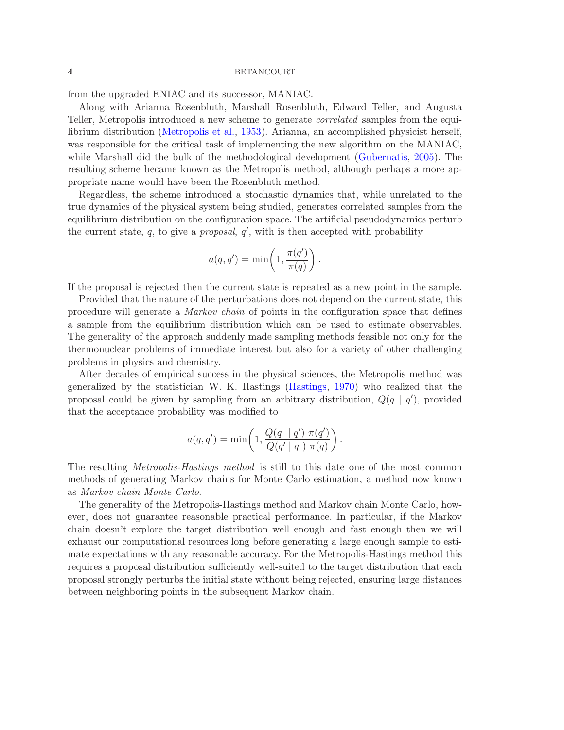from the upgraded ENIAC and its successor, MANIAC.

Along with Arianna Rosenbluth, Marshall Rosenbluth, Edward Teller, and Augusta Teller, Metropolis introduced a new scheme to generate correlated samples from the equilibrium distribution [\(Metropolis et al.,](#page-11-5) [1953](#page-11-5)). Arianna, an accomplished physicist herself, was responsible for the critical task of implementing the new algorithm on the MANIAC, while Marshall did the bulk of the methodological development [\(Gubernatis](#page-11-6), [2005](#page-11-6)). The resulting scheme became known as the Metropolis method, although perhaps a more appropriate name would have been the Rosenbluth method.

Regardless, the scheme introduced a stochastic dynamics that, while unrelated to the true dynamics of the physical system being studied, generates correlated samples from the equilibrium distribution on the configuration space. The artificial pseudodynamics perturb the current state,  $q$ , to give a *proposal*,  $q'$ , with is then accepted with probability

$$
a(q, q') = \min\left(1, \frac{\pi(q')}{\pi(q)}\right).
$$

If the proposal is rejected then the current state is repeated as a new point in the sample.

Provided that the nature of the perturbations does not depend on the current state, this procedure will generate a Markov chain of points in the configuration space that defines a sample from the equilibrium distribution which can be used to estimate observables. The generality of the approach suddenly made sampling methods feasible not only for the thermonuclear problems of immediate interest but also for a variety of other challenging problems in physics and chemistry.

After decades of empirical success in the physical sciences, the Metropolis method was generalized by the statistician W. K. Hastings [\(Hastings,](#page-11-7) [1970](#page-11-7)) who realized that the proposal could be given by sampling from an arbitrary distribution,  $Q(q | q')$ , provided that the acceptance probability was modified to

$$
a(q, q') = \min\left(1, \frac{Q(q \mid q') \pi(q')}{Q(q' \mid q) \pi(q)}\right).
$$

The resulting *Metropolis-Hastings method* is still to this date one of the most common methods of generating Markov chains for Monte Carlo estimation, a method now known as Markov chain Monte Carlo.

The generality of the Metropolis-Hastings method and Markov chain Monte Carlo, however, does not guarantee reasonable practical performance. In particular, if the Markov chain doesn't explore the target distribution well enough and fast enough then we will exhaust our computational resources long before generating a large enough sample to estimate expectations with any reasonable accuracy. For the Metropolis-Hastings method this requires a proposal distribution sufficiently well-suited to the target distribution that each proposal strongly perturbs the initial state without being rejected, ensuring large distances between neighboring points in the subsequent Markov chain.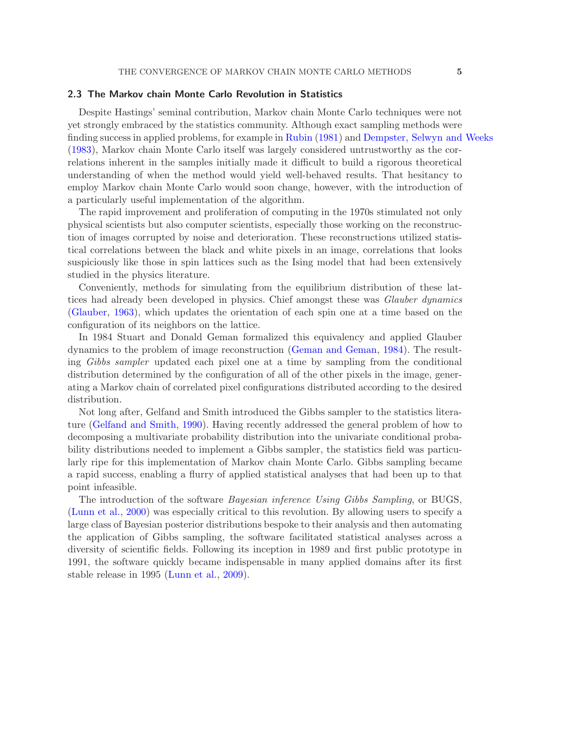#### 2.3 The Markov chain Monte Carlo Revolution in Statistics

Despite Hastings' seminal contribution, Markov chain Monte Carlo techniques were not yet strongly embraced by the statistics community. Although exact sampling methods were finding success in applied problems, for example in [Rubin](#page-12-1) [\(1981\)](#page-12-1) and [Dempster, Selwyn and Weeks](#page-10-0) [\(1983](#page-10-0)), Markov chain Monte Carlo itself was largely considered untrustworthy as the correlations inherent in the samples initially made it difficult to build a rigorous theoretical understanding of when the method would yield well-behaved results. That hesitancy to employ Markov chain Monte Carlo would soon change, however, with the introduction of a particularly useful implementation of the algorithm.

The rapid improvement and proliferation of computing in the 1970s stimulated not only physical scientists but also computer scientists, especially those working on the reconstruction of images corrupted by noise and deterioration. These reconstructions utilized statistical correlations between the black and white pixels in an image, correlations that looks suspiciously like those in spin lattices such as the Ising model that had been extensively studied in the physics literature.

Conveniently, methods for simulating from the equilibrium distribution of these lattices had already been developed in physics. Chief amongst these was *Glauber dynamics* [\(Glauber](#page-11-8), [1963](#page-11-8)), which updates the orientation of each spin one at a time based on the configuration of its neighbors on the lattice.

In 1984 Stuart and Donald Geman formalized this equivalency and applied Glauber dynamics to the problem of image reconstruction [\(Geman and Geman](#page-11-9), [1984](#page-11-9)). The resulting Gibbs sampler updated each pixel one at a time by sampling from the conditional distribution determined by the configuration of all of the other pixels in the image, generating a Markov chain of correlated pixel configurations distributed according to the desired distribution.

Not long after, Gelfand and Smith introduced the Gibbs sampler to the statistics literature [\(Gelfand and Smith](#page-11-10), [1990](#page-11-10)). Having recently addressed the general problem of how to decomposing a multivariate probability distribution into the univariate conditional probability distributions needed to implement a Gibbs sampler, the statistics field was particularly ripe for this implementation of Markov chain Monte Carlo. Gibbs sampling became a rapid success, enabling a flurry of applied statistical analyses that had been up to that point infeasible.

The introduction of the software Bayesian inference Using Gibbs Sampling, or BUGS, [\(Lunn et al.](#page-11-11), [2000\)](#page-11-11) was especially critical to this revolution. By allowing users to specify a large class of Bayesian posterior distributions bespoke to their analysis and then automating the application of Gibbs sampling, the software facilitated statistical analyses across a diversity of scientific fields. Following its inception in 1989 and first public prototype in 1991, the software quickly became indispensable in many applied domains after its first stable release in 1995 [\(Lunn et al.](#page-11-12), [2009](#page-11-12)).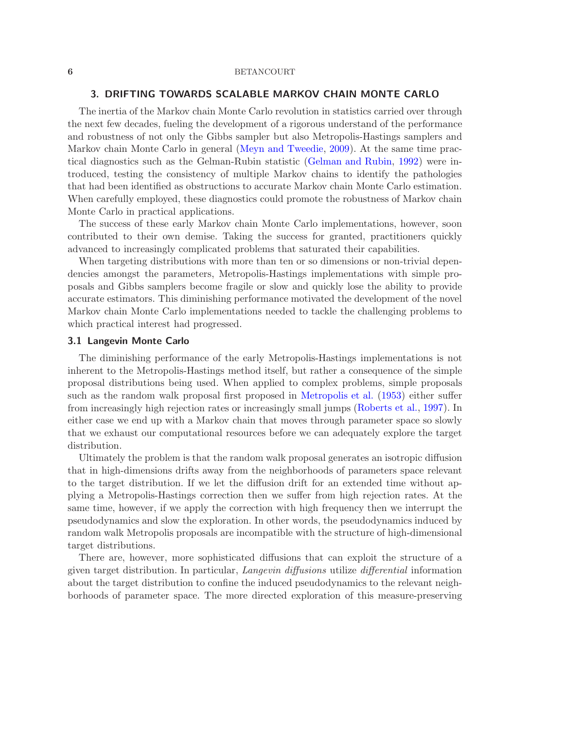## 3. DRIFTING TOWARDS SCALABLE MARKOV CHAIN MONTE CARLO

The inertia of the Markov chain Monte Carlo revolution in statistics carried over through the next few decades, fueling the development of a rigorous understand of the performance and robustness of not only the Gibbs sampler but also Metropolis-Hastings samplers and Markov chain Monte Carlo in general [\(Meyn and Tweedie](#page-11-13), [2009](#page-11-13)). At the same time practical diagnostics such as the Gelman-Rubin statistic [\(Gelman and Rubin,](#page-11-14) [1992](#page-11-14)) were introduced, testing the consistency of multiple Markov chains to identify the pathologies that had been identified as obstructions to accurate Markov chain Monte Carlo estimation. When carefully employed, these diagnostics could promote the robustness of Markov chain Monte Carlo in practical applications.

The success of these early Markov chain Monte Carlo implementations, however, soon contributed to their own demise. Taking the success for granted, practitioners quickly advanced to increasingly complicated problems that saturated their capabilities.

When targeting distributions with more than ten or so dimensions or non-trivial dependencies amongst the parameters, Metropolis-Hastings implementations with simple proposals and Gibbs samplers become fragile or slow and quickly lose the ability to provide accurate estimators. This diminishing performance motivated the development of the novel Markov chain Monte Carlo implementations needed to tackle the challenging problems to which practical interest had progressed.

## 3.1 Langevin Monte Carlo

The diminishing performance of the early Metropolis-Hastings implementations is not inherent to the Metropolis-Hastings method itself, but rather a consequence of the simple proposal distributions being used. When applied to complex problems, simple proposals such as the random walk proposal first proposed in [Metropolis et al.](#page-11-5) [\(1953\)](#page-11-5) either suffer from increasingly high rejection rates or increasingly small jumps [\(Roberts et al.](#page-12-2), [1997](#page-12-2)). In either case we end up with a Markov chain that moves through parameter space so slowly that we exhaust our computational resources before we can adequately explore the target distribution.

Ultimately the problem is that the random walk proposal generates an isotropic diffusion that in high-dimensions drifts away from the neighborhoods of parameters space relevant to the target distribution. If we let the diffusion drift for an extended time without applying a Metropolis-Hastings correction then we suffer from high rejection rates. At the same time, however, if we apply the correction with high frequency then we interrupt the pseudodynamics and slow the exploration. In other words, the pseudodynamics induced by random walk Metropolis proposals are incompatible with the structure of high-dimensional target distributions.

There are, however, more sophisticated diffusions that can exploit the structure of a given target distribution. In particular, Langevin diffusions utilize differential information about the target distribution to confine the induced pseudodynamics to the relevant neighborhoods of parameter space. The more directed exploration of this measure-preserving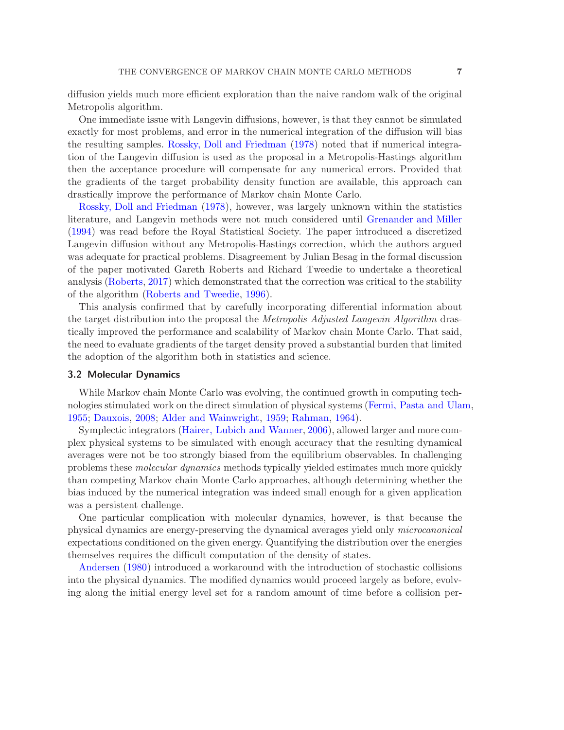diffusion yields much more efficient exploration than the naive random walk of the original Metropolis algorithm.

One immediate issue with Langevin diffusions, however, is that they cannot be simulated exactly for most problems, and error in the numerical integration of the diffusion will bias the resulting samples. [Rossky, Doll and Friedman](#page-12-3) [\(1978](#page-12-3)) noted that if numerical integration of the Langevin diffusion is used as the proposal in a Metropolis-Hastings algorithm then the acceptance procedure will compensate for any numerical errors. Provided that the gradients of the target probability density function are available, this approach can drastically improve the performance of Markov chain Monte Carlo.

[Rossky, Doll and Friedman](#page-12-3) [\(1978](#page-12-3)), however, was largely unknown within the statistics literature, and Langevin methods were not much considered until [Grenander and Miller](#page-11-15) [\(1994](#page-11-15)) was read before the Royal Statistical Society. The paper introduced a discretized Langevin diffusion without any Metropolis-Hastings correction, which the authors argued was adequate for practical problems. Disagreement by Julian Besag in the formal discussion of the paper motivated Gareth Roberts and Richard Tweedie to undertake a theoretical analysis [\(Roberts](#page-12-4), [2017](#page-12-4)) which demonstrated that the correction was critical to the stability of the algorithm [\(Roberts and Tweedie](#page-12-5), [1996](#page-12-5)).

This analysis confirmed that by carefully incorporating differential information about the target distribution into the proposal the Metropolis Adjusted Langevin Algorithm drastically improved the performance and scalability of Markov chain Monte Carlo. That said, the need to evaluate gradients of the target density proved a substantial burden that limited the adoption of the algorithm both in statistics and science.

## 3.2 Molecular Dynamics

While Markov chain Monte Carlo was evolving, the continued growth in computing technologies stimulated work on the direct simulation of physical systems [\(Fermi, Pasta and Ulam](#page-11-16), [1955](#page-11-16); [Dauxois](#page-10-1), [2008;](#page-10-1) [Alder and Wainwright,](#page-10-2) [1959](#page-10-2); [Rahman](#page-12-6), [1964](#page-12-6)).

Symplectic integrators [\(Hairer, Lubich and Wanner,](#page-11-17) [2006](#page-11-17)), allowed larger and more complex physical systems to be simulated with enough accuracy that the resulting dynamical averages were not be too strongly biased from the equilibrium observables. In challenging problems these *molecular dynamics* methods typically yielded estimates much more quickly than competing Markov chain Monte Carlo approaches, although determining whether the bias induced by the numerical integration was indeed small enough for a given application was a persistent challenge.

One particular complication with molecular dynamics, however, is that because the physical dynamics are energy-preserving the dynamical averages yield only microcanonical expectations conditioned on the given energy. Quantifying the distribution over the energies themselves requires the difficult computation of the density of states.

[Andersen](#page-10-3) [\(1980](#page-10-3)) introduced a workaround with the introduction of stochastic collisions into the physical dynamics. The modified dynamics would proceed largely as before, evolving along the initial energy level set for a random amount of time before a collision per-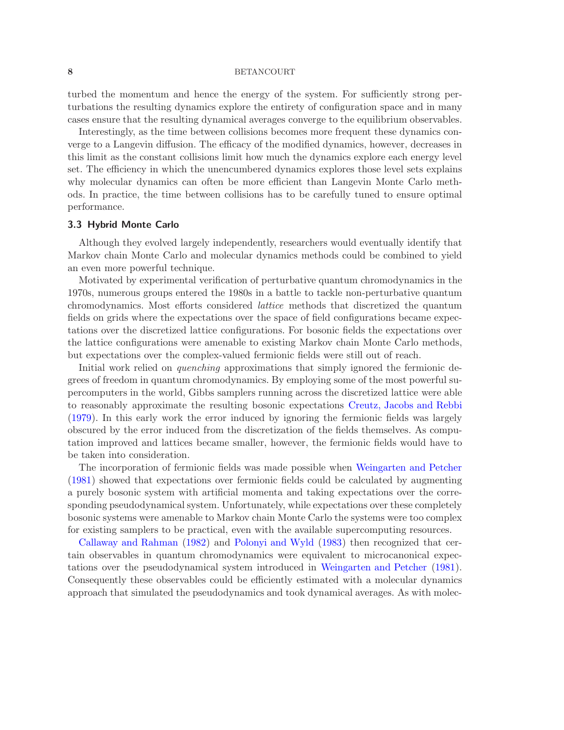turbed the momentum and hence the energy of the system. For sufficiently strong perturbations the resulting dynamics explore the entirety of configuration space and in many cases ensure that the resulting dynamical averages converge to the equilibrium observables.

Interestingly, as the time between collisions becomes more frequent these dynamics converge to a Langevin diffusion. The efficacy of the modified dynamics, however, decreases in this limit as the constant collisions limit how much the dynamics explore each energy level set. The efficiency in which the unencumbered dynamics explores those level sets explains why molecular dynamics can often be more efficient than Langevin Monte Carlo methods. In practice, the time between collisions has to be carefully tuned to ensure optimal performance.

#### 3.3 Hybrid Monte Carlo

Although they evolved largely independently, researchers would eventually identify that Markov chain Monte Carlo and molecular dynamics methods could be combined to yield an even more powerful technique.

Motivated by experimental verification of perturbative quantum chromodynamics in the 1970s, numerous groups entered the 1980s in a battle to tackle non-perturbative quantum chromodynamics. Most efforts considered lattice methods that discretized the quantum fields on grids where the expectations over the space of field configurations became expectations over the discretized lattice configurations. For bosonic fields the expectations over the lattice configurations were amenable to existing Markov chain Monte Carlo methods, but expectations over the complex-valued fermionic fields were still out of reach.

Initial work relied on *quenching* approximations that simply ignored the fermionic degrees of freedom in quantum chromodynamics. By employing some of the most powerful supercomputers in the world, Gibbs samplers running across the discretized lattice were able to reasonably approximate the resulting bosonic expectations [Creutz, Jacobs and Rebbi](#page-10-4) [\(1979](#page-10-4)). In this early work the error induced by ignoring the fermionic fields was largely obscured by the error induced from the discretization of the fields themselves. As computation improved and lattices became smaller, however, the fermionic fields would have to be taken into consideration.

The incorporation of fermionic fields was made possible when [Weingarten and Petcher](#page-12-7) [\(1981](#page-12-7)) showed that expectations over fermionic fields could be calculated by augmenting a purely bosonic system with artificial momenta and taking expectations over the corresponding pseudodynamical system. Unfortunately, while expectations over these completely bosonic systems were amenable to Markov chain Monte Carlo the systems were too complex for existing samplers to be practical, even with the available supercomputing resources.

[Callaway and Rahman](#page-10-5) [\(1982\)](#page-10-5) and [Polonyi and Wyld](#page-12-8) [\(1983](#page-12-8)) then recognized that certain observables in quantum chromodynamics were equivalent to microcanonical expectations over the pseudodynamical system introduced in [Weingarten and Petcher](#page-12-7) [\(1981](#page-12-7)). Consequently these observables could be efficiently estimated with a molecular dynamics approach that simulated the pseudodynamics and took dynamical averages. As with molec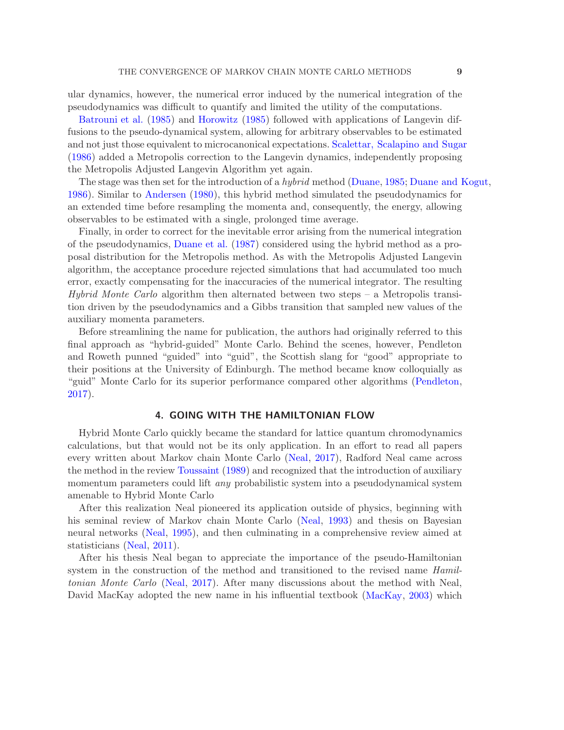ular dynamics, however, the numerical error induced by the numerical integration of the pseudodynamics was difficult to quantify and limited the utility of the computations.

[Batrouni et al.](#page-10-6) [\(1985](#page-10-6)) and [Horowitz](#page-11-18) [\(1985](#page-11-18)) followed with applications of Langevin diffusions to the pseudo-dynamical system, allowing for arbitrary observables to be estimated and not just those equivalent to microcanonical expectations. [Scalettar, Scalapino and Sugar](#page-12-9) [\(1986](#page-12-9)) added a Metropolis correction to the Langevin dynamics, independently proposing the Metropolis Adjusted Langevin Algorithm yet again.

The stage was then set for the introduction of a *hybrid* method [\(Duane](#page-10-7), [1985](#page-10-7); [Duane and Kogut](#page-10-8), [1986](#page-10-8)). Similar to [Andersen](#page-10-3) [\(1980\)](#page-10-3), this hybrid method simulated the pseudodynamics for an extended time before resampling the momenta and, consequently, the energy, allowing observables to be estimated with a single, prolonged time average.

Finally, in order to correct for the inevitable error arising from the numerical integration of the pseudodynamics, [Duane et al.](#page-11-19) [\(1987](#page-11-19)) considered using the hybrid method as a proposal distribution for the Metropolis method. As with the Metropolis Adjusted Langevin algorithm, the acceptance procedure rejected simulations that had accumulated too much error, exactly compensating for the inaccuracies of the numerical integrator. The resulting *Hybrid Monte Carlo* algorithm then alternated between two steps – a Metropolis transition driven by the pseudodynamics and a Gibbs transition that sampled new values of the auxiliary momenta parameters.

Before streamlining the name for publication, the authors had originally referred to this final approach as "hybrid-guided" Monte Carlo. Behind the scenes, however, Pendleton and Roweth punned "guided" into "guid", the Scottish slang for "good" appropriate to their positions at the University of Edinburgh. The method became know colloquially as "guid" Monte Carlo for its superior performance compared other algorithms [\(Pendleton,](#page-12-10) [2017](#page-12-10)).

## 4. GOING WITH THE HAMILTONIAN FLOW

Hybrid Monte Carlo quickly became the standard for lattice quantum chromodynamics calculations, but that would not be its only application. In an effort to read all papers every written about Markov chain Monte Carlo [\(Neal,](#page-12-11) [2017\)](#page-12-11), Radford Neal came across the method in the review [Toussaint](#page-12-12) [\(1989](#page-12-12)) and recognized that the introduction of auxiliary momentum parameters could lift *any* probabilistic system into a pseudodynamical system amenable to Hybrid Monte Carlo

After this realization Neal pioneered its application outside of physics, beginning with his seminal review of Markov chain Monte Carlo [\(Neal](#page-11-0), [1993](#page-11-0)) and thesis on Bayesian neural networks [\(Neal](#page-12-13), [1995](#page-12-13)), and then culminating in a comprehensive review aimed at statisticians [\(Neal](#page-12-14), [2011\)](#page-12-14).

After his thesis Neal began to appreciate the importance of the pseudo-Hamiltonian system in the construction of the method and transitioned to the revised name Hamiltonian Monte Carlo [\(Neal](#page-12-11), [2017](#page-12-11)). After many discussions about the method with Neal, David MacKay adopted the new name in his influential textbook [\(MacKay,](#page-11-20) [2003\)](#page-11-20) which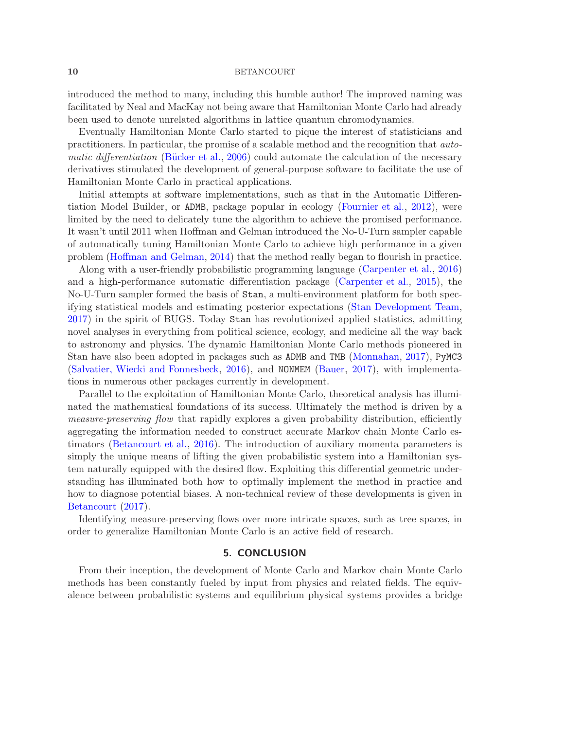introduced the method to many, including this humble author! The improved naming was facilitated by Neal and MacKay not being aware that Hamiltonian Monte Carlo had already been used to denote unrelated algorithms in lattice quantum chromodynamics.

Eventually Hamiltonian Monte Carlo started to pique the interest of statisticians and practitioners. In particular, the promise of a scalable method and the recognition that auto-matic differentiation (Bücker et al., [2006](#page-10-9)) could automate the calculation of the necessary derivatives stimulated the development of general-purpose software to facilitate the use of Hamiltonian Monte Carlo in practical applications.

Initial attempts at software implementations, such as that in the Automatic Differentiation Model Builder, or ADMB, package popular in ecology [\(Fournier et al.](#page-11-21), [2012](#page-11-21)), were limited by the need to delicately tune the algorithm to achieve the promised performance. It wasn't until 2011 when Hoffman and Gelman introduced the No-U-Turn sampler capable of automatically tuning Hamiltonian Monte Carlo to achieve high performance in a given problem [\(Hoffman and Gelman](#page-11-22), [2014\)](#page-11-22) that the method really began to flourish in practice.

Along with a user-friendly probabilistic programming language [\(Carpenter et al.](#page-10-10), [2016](#page-10-10)) and a high-performance automatic differentiation package [\(Carpenter et al.,](#page-10-11) [2015](#page-10-11)), the No-U-Turn sampler formed the basis of Stan, a multi-environment platform for both specifying statistical models and estimating posterior expectations [\(Stan Development Team,](#page-12-15) [2017](#page-12-15)) in the spirit of BUGS. Today Stan has revolutionized applied statistics, admitting novel analyses in everything from political science, ecology, and medicine all the way back to astronomy and physics. The dynamic Hamiltonian Monte Carlo methods pioneered in Stan have also been adopted in packages such as ADMB and TMB [\(Monnahan,](#page-11-23) [2017](#page-11-23)), PyMC3 [\(Salvatier, Wiecki and Fonnesbeck](#page-12-16), [2016](#page-12-16)), and NONMEM [\(Bauer](#page-10-12), [2017](#page-10-12)), with implementations in numerous other packages currently in development.

Parallel to the exploitation of Hamiltonian Monte Carlo, theoretical analysis has illuminated the mathematical foundations of its success. Ultimately the method is driven by a measure-preserving flow that rapidly explores a given probability distribution, efficiently aggregating the information needed to construct accurate Markov chain Monte Carlo estimators [\(Betancourt et al.](#page-10-13), [2016](#page-10-13)). The introduction of auxiliary momenta parameters is simply the unique means of lifting the given probabilistic system into a Hamiltonian system naturally equipped with the desired flow. Exploiting this differential geometric understanding has illuminated both how to optimally implement the method in practice and how to diagnose potential biases. A non-technical review of these developments is given in [Betancourt](#page-10-14) [\(2017](#page-10-14)).

Identifying measure-preserving flows over more intricate spaces, such as tree spaces, in order to generalize Hamiltonian Monte Carlo is an active field of research.

## 5. CONCLUSION

From their inception, the development of Monte Carlo and Markov chain Monte Carlo methods has been constantly fueled by input from physics and related fields. The equivalence between probabilistic systems and equilibrium physical systems provides a bridge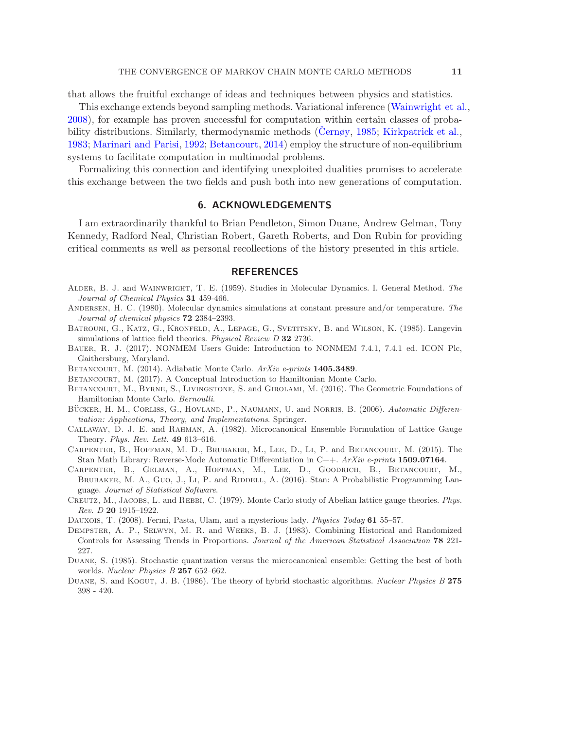that allows the fruitful exchange of ideas and techniques between physics and statistics.

This exchange extends beyond sampling methods. Variational inference [\(Wainwright et al.](#page-12-17), [2008](#page-12-17)), for example has proven successful for computation within certain classes of proba-bility distributions. Similarly, thermodynamic methods [\(Cernøy](#page-12-18), [1985;](#page-12-18) [Kirkpatrick et al.,](#page-11-24) [1983](#page-11-24); [Marinari and Parisi](#page-11-25), [1992;](#page-11-25) [Betancourt,](#page-10-15) [2014](#page-10-15)) employ the structure of non-equilibrium systems to facilitate computation in multimodal problems.

Formalizing this connection and identifying unexploited dualities promises to accelerate this exchange between the two fields and push both into new generations of computation.

## 6. ACKNOWLEDGEMENTS

I am extraordinarily thankful to Brian Pendleton, Simon Duane, Andrew Gelman, Tony Kennedy, Radford Neal, Christian Robert, Gareth Roberts, and Don Rubin for providing critical comments as well as personal recollections of the history presented in this article.

#### REFERENCES

- <span id="page-10-2"></span>Alder, B. J. and Wainwright, T. E. (1959). Studies in Molecular Dynamics. I. General Method. The Journal of Chemical Physics 31 459-466.
- <span id="page-10-3"></span>ANDERSEN, H. C. (1980). Molecular dynamics simulations at constant pressure and/or temperature. The Journal of chemical physics 72 2384–2393.
- <span id="page-10-6"></span>BATROUNI, G., KATZ, G., KRONFELD, A., LEPAGE, G., SVETITSKY, B. and WILSON, K. (1985). Langevin simulations of lattice field theories. Physical Review D 32 2736.
- <span id="page-10-12"></span>Bauer, R. J. (2017). NONMEM Users Guide: Introduction to NONMEM 7.4.1, 7.4.1 ed. ICON Plc, Gaithersburg, Maryland.
- <span id="page-10-15"></span>BETANCOURT, M. (2014). Adiabatic Monte Carlo. ArXiv e-prints 1405.3489.
- <span id="page-10-14"></span>BETANCOURT, M. (2017). A Conceptual Introduction to Hamiltonian Monte Carlo.
- <span id="page-10-13"></span>Betancourt, M., Byrne, S., Livingstone, S. and Girolami, M. (2016). The Geometric Foundations of Hamiltonian Monte Carlo. Bernoulli.
- <span id="page-10-9"></span>BÜCKER, H. M., CORLISS, G., HOVLAND, P., NAUMANN, U. and NORRIS, B. (2006). Automatic Differentiation: Applications, Theory, and Implementations. Springer.
- <span id="page-10-5"></span>Callaway, D. J. E. and Rahman, A. (1982). Microcanonical Ensemble Formulation of Lattice Gauge Theory. Phys. Rev. Lett. 49 613–616.
- <span id="page-10-11"></span>Carpenter, B., Hoffman, M. D., Brubaker, M., Lee, D., Li, P. and Betancourt, M. (2015). The Stan Math Library: Reverse-Mode Automatic Differentiation in C++. ArXiv e-prints 1509.07164.
- <span id="page-10-10"></span>Carpenter, B., Gelman, A., Hoffman, M., Lee, D., Goodrich, B., Betancourt, M., BRUBAKER, M. A., GUO, J., LI, P. and RIDDELL, A. (2016). Stan: A Probabilistic Programming Language. Journal of Statistical Software.
- <span id="page-10-4"></span>CREUTZ, M., JACOBS, L. and REBBI, C. (1979). Monte Carlo study of Abelian lattice gauge theories. Phys. Rev. D 20 1915–1922.
- <span id="page-10-1"></span>DAUXOIS, T. (2008). Fermi, Pasta, Ulam, and a mysterious lady. Physics Today 61 55–57.
- <span id="page-10-0"></span>Dempster, A. P., Selwyn, M. R. and Weeks, B. J. (1983). Combining Historical and Randomized Controls for Assessing Trends in Proportions. Journal of the American Statistical Association 78 221- 227.
- <span id="page-10-7"></span>Duane, S. (1985). Stochastic quantization versus the microcanonical ensemble: Getting the best of both worlds. Nuclear Physics B 257 652-662.
- <span id="page-10-8"></span>DUANE, S. and KOGUT, J. B. (1986). The theory of hybrid stochastic algorithms. Nuclear Physics B 275 398 - 420.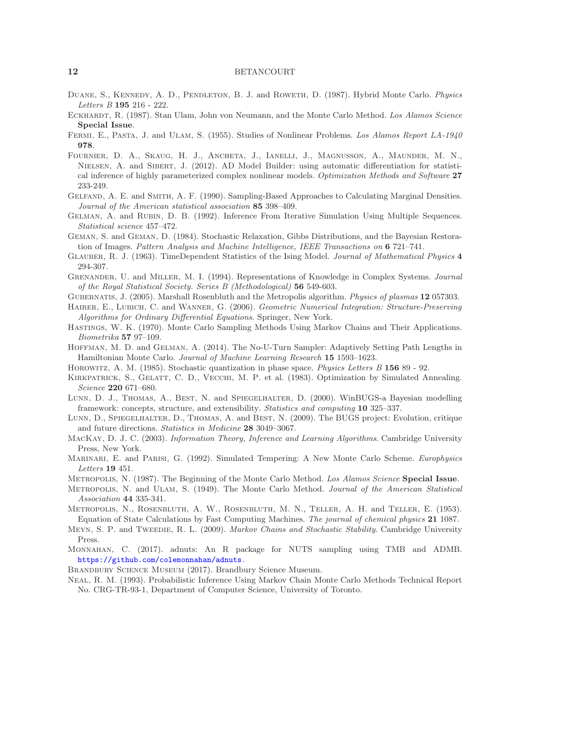- <span id="page-11-19"></span>DUANE, S., KENNEDY, A. D., PENDLETON, B. J. and ROWETH, D. (1987). Hybrid Monte Carlo. Physics Letters B 195 216 - 222.
- <span id="page-11-2"></span>ECKHARDT, R. (1987). Stan Ulam, John von Neumann, and the Monte Carlo Method. Los Alamos Science Special Issue.
- <span id="page-11-16"></span>Fermi, E., Pasta, J. and Ulam, S. (1955). Studies of Nonlinear Problems. Los Alamos Report LA-1940 978.
- <span id="page-11-21"></span>Fournier, D. A., Skaug, H. J., Ancheta, J., Ianelli, J., Magnusson, A., Maunder, M. N., NIELSEN, A. and SIBERT, J. (2012). AD Model Builder: using automatic differentiation for statistical inference of highly parameterized complex nonlinear models. Optimization Methods and Software 27 233-249.
- <span id="page-11-10"></span>GELFAND, A. E. and SMITH, A. F. (1990). Sampling-Based Approaches to Calculating Marginal Densities. Journal of the American statistical association 85 398–409.
- <span id="page-11-14"></span>Gelman, A. and Rubin, D. B. (1992). Inference From Iterative Simulation Using Multiple Sequences. Statistical science 457–472.
- <span id="page-11-9"></span>Geman, S. and Geman, D. (1984). Stochastic Relaxation, Gibbs Distributions, and the Bayesian Restoration of Images. Pattern Analysis and Machine Intelligence, IEEE Transactions on 6 721–741.
- <span id="page-11-8"></span>GLAUBER, R. J. (1963). TimeDependent Statistics of the Ising Model. Journal of Mathematical Physics 4 294-307.
- <span id="page-11-15"></span>Grenander, U. and Miller, M. I. (1994). Representations of Knowledge in Complex Systems. Journal of the Royal Statistical Society. Series B (Methodological) 56 549-603.
- <span id="page-11-6"></span>GUBERNATIS, J. (2005). Marshall Rosenbluth and the Metropolis algorithm. Physics of plasmas 12 057303.
- <span id="page-11-17"></span>HAIRER, E., LUBICH, C. and WANNER, G. (2006). Geometric Numerical Integration: Structure-Preserving Algorithms for Ordinary Differential Equations. Springer, New York.
- <span id="page-11-7"></span>Hastings, W. K. (1970). Monte Carlo Sampling Methods Using Markov Chains and Their Applications. Biometrika 57 97–109.
- <span id="page-11-22"></span>HOFFMAN, M. D. and GELMAN, A. (2014). The No-U-Turn Sampler: Adaptively Setting Path Lengths in Hamiltonian Monte Carlo. Journal of Machine Learning Research 15 1593–1623.
- <span id="page-11-18"></span>HOROWITZ, A. M. (1985). Stochastic quantization in phase space. *Physics Letters B* 156 89 - 92.
- <span id="page-11-24"></span>KIRKPATRICK, S., GELATT, C. D., VECCHI, M. P. et al. (1983). Optimization by Simulated Annealing. Science 220 671–680.
- <span id="page-11-11"></span>Lunn, D. J., Thomas, A., Best, N. and Spiegelhalter, D. (2000). WinBUGS-a Bayesian modelling framework: concepts, structure, and extensibility. Statistics and computing 10 325–337.
- <span id="page-11-12"></span>LUNN, D., SPIEGELHALTER, D., THOMAS, A. and BEST, N. (2009). The BUGS project: Evolution, critique and future directions. Statistics in Medicine 28 3049–3067.
- <span id="page-11-20"></span>MACKAY, D. J. C. (2003). Information Theory, Inference and Learning Algorithms. Cambridge University Press, New York.
- <span id="page-11-25"></span>MARINARI, E. and PARISI, G. (1992). Simulated Tempering: A New Monte Carlo Scheme. Europhysics Letters 19 451.
- <span id="page-11-1"></span>METROPOLIS, N. (1987). The Beginning of the Monte Carlo Method. Los Alamos Science Special Issue.
- <span id="page-11-3"></span>METROPOLIS, N. and ULAM, S. (1949). The Monte Carlo Method. Journal of the American Statistical Association 44 335-341.
- <span id="page-11-5"></span>Metropolis, N., Rosenbluth, A. W., Rosenbluth, M. N., Teller, A. H. and Teller, E. (1953). Equation of State Calculations by Fast Computing Machines. The journal of chemical physics 21 1087.
- <span id="page-11-13"></span>MEYN, S. P. and TWEEDIE, R. L. (2009). *Markov Chains and Stochastic Stability*. Cambridge University Press.
- <span id="page-11-23"></span>Monnahan, C. (2017). adnuts: An R package for NUTS sampling using TMB and ADMB. <https://github.com/colemonnahan/adnuts>.
- <span id="page-11-4"></span>Brandbury Science Museum (2017). Brandbury Science Museum.
- <span id="page-11-0"></span>Neal, R. M. (1993). Probabilistic Inference Using Markov Chain Monte Carlo Methods Technical Report No. CRG-TR-93-1, Department of Computer Science, University of Toronto.